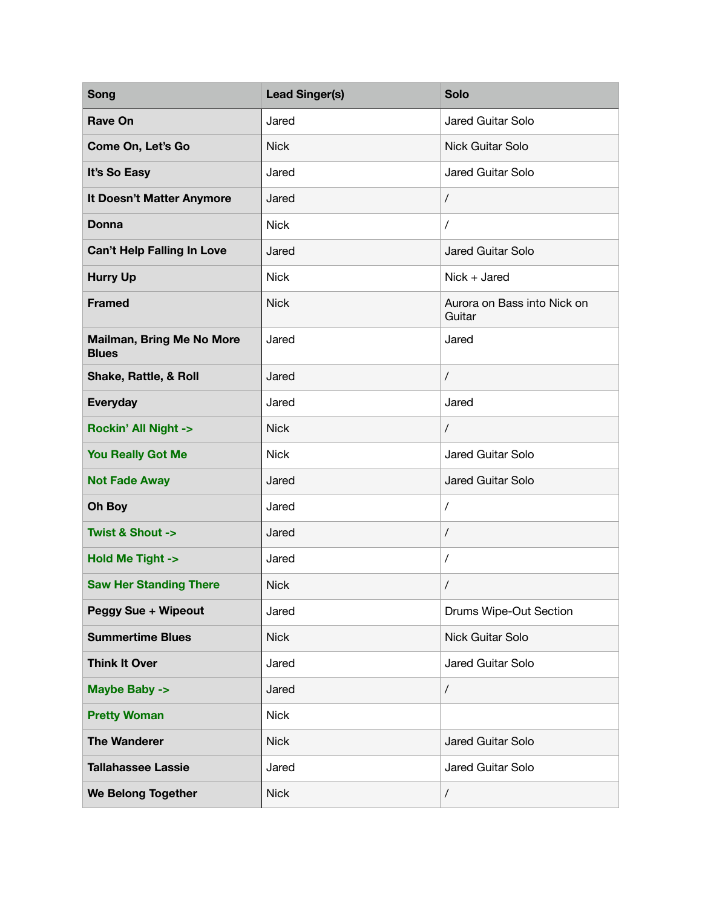| <b>Song</b>                               | <b>Lead Singer(s)</b> | <b>Solo</b>                           |
|-------------------------------------------|-----------------------|---------------------------------------|
| <b>Rave On</b>                            | Jared                 | Jared Guitar Solo                     |
| Come On, Let's Go                         | <b>Nick</b>           | Nick Guitar Solo                      |
| It's So Easy                              | Jared                 | Jared Guitar Solo                     |
| It Doesn't Matter Anymore                 | Jared                 | $\sqrt{ }$                            |
| <b>Donna</b>                              | <b>Nick</b>           | $\overline{1}$                        |
| <b>Can't Help Falling In Love</b>         | Jared                 | Jared Guitar Solo                     |
| <b>Hurry Up</b>                           | <b>Nick</b>           | Nick + Jared                          |
| <b>Framed</b>                             | <b>Nick</b>           | Aurora on Bass into Nick on<br>Guitar |
| Mailman, Bring Me No More<br><b>Blues</b> | Jared                 | Jared                                 |
| Shake, Rattle, & Roll                     | Jared                 | $\sqrt{2}$                            |
| <b>Everyday</b>                           | Jared                 | Jared                                 |
| <b>Rockin' All Night -&gt;</b>            | <b>Nick</b>           | $\overline{1}$                        |
| You Really Got Me                         | <b>Nick</b>           | Jared Guitar Solo                     |
| <b>Not Fade Away</b>                      | Jared                 | Jared Guitar Solo                     |
| Oh Boy                                    | Jared                 | $\overline{1}$                        |
| <b>Twist &amp; Shout -&gt;</b>            | Jared                 | $\sqrt{2}$                            |
| <b>Hold Me Tight -&gt;</b>                | Jared                 | $\overline{1}$                        |
| <b>Saw Her Standing There</b>             | <b>Nick</b>           | $\overline{1}$                        |
| <b>Peggy Sue + Wipeout</b>                | Jared                 | Drums Wipe-Out Section                |
| <b>Summertime Blues</b>                   | <b>Nick</b>           | Nick Guitar Solo                      |
| <b>Think It Over</b>                      | Jared                 | Jared Guitar Solo                     |
| <b>Maybe Baby -&gt;</b>                   | Jared                 | $\overline{1}$                        |
| <b>Pretty Woman</b>                       | <b>Nick</b>           |                                       |
| <b>The Wanderer</b>                       | <b>Nick</b>           | Jared Guitar Solo                     |
| <b>Tallahassee Lassie</b>                 | Jared                 | Jared Guitar Solo                     |
| <b>We Belong Together</b>                 | <b>Nick</b>           | $\overline{1}$                        |